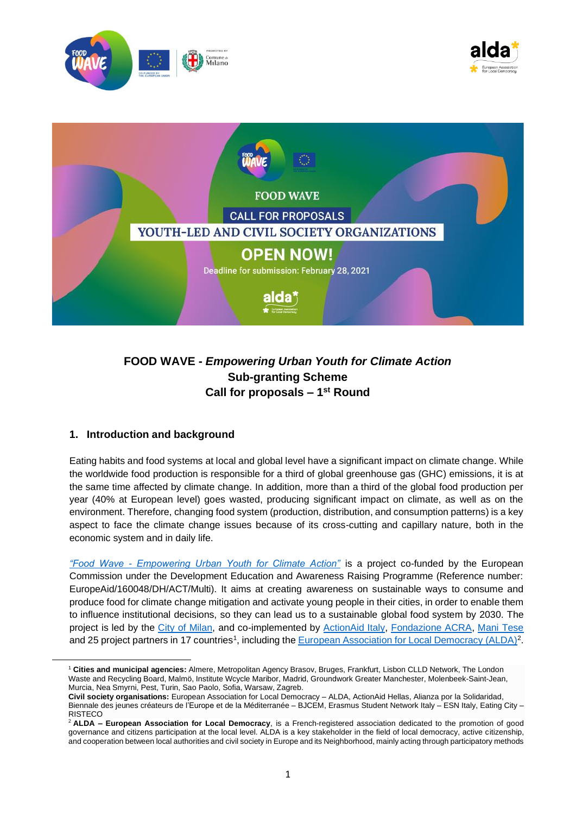

# **FOOD WAVE -** *Empowering Urban Youth for Climate Action* **Sub-granting Scheme Call for proposals – 1 st Round**

# **1. Introduction and background**

Eating habits and food systems at local and global level have a significant impact on climate change. While the worldwide food production is responsible for a third of global greenhouse gas (GHC) emissions, it is at the same time affected by climate change. In addition, more than a third of the global food production per year (40% at European level) goes wasted, producing significant impact on climate, as well as on the environment. Therefore, changing food system (production, distribution, and consumption patterns) is a key aspect to face the climate change issues because of its cross-cutting and capillary nature, both in the economic system and in daily life.

*"Food Wave - [Empowering Urban Youth for Climate Action"](https://www.foodwave.eu/)* is a project co-funded by the European Commission under the Development Education and Awareness Raising Programme (Reference number: EuropeAid/160048/DH/ACT/Multi). It aims at creating awareness on sustainable ways to consume and produce food for climate change mitigation and activate young people in their cities, in order to enable them to influence institutional decisions, so they can lead us to a sustainable global food system by 2030. The project is led by the [City of Milan,](https://www.comune.milano.it/) and co-implemented by [ActionAid Italy,](https://www.actionaid.it/) [Fondazione ACRA,](http://www.acra.it/index.php?lang=en) [Mani Tese](https://www.manitese.it/en) and 25 project partners in 17 countries<sup>1</sup>, including the [European Association for Local Democracy \(ALDA\)](https://www.alda-europe.eu/)<sup>2</sup>.

<sup>1</sup> **Cities and municipal agencies:** Almere, Metropolitan Agency Brasov, Bruges, Frankfurt, Lisbon CLLD Network, The London Waste and Recycling Board, Malmö, Institute Wcycle Maribor, Madrid, Groundwork Greater Manchester, Molenbeek-Saint-Jean, Murcia, Nea Smyrni, Pest, Turin, Sao Paolo, Sofia, Warsaw, Zagreb.

**Civil society organisations:** European Association for Local Democracy – ALDA, ActionAid Hellas, Alianza por la Solidaridad, Biennale des jeunes créateurs de l'Europe et de la Méditerranée – BJCEM, Erasmus Student Network Italy – ESN Italy, Eating City – **RISTECO** 

<sup>2</sup> **ALDA – European Association for Local Democracy**, is a French-registered association dedicated to the promotion of good governance and citizens participation at the local level. ALDA is a key stakeholder in the field of local democracy, active citizenship, and cooperation between local authorities and civil society in Europe and its Neighborhood, mainly acting through participatory methods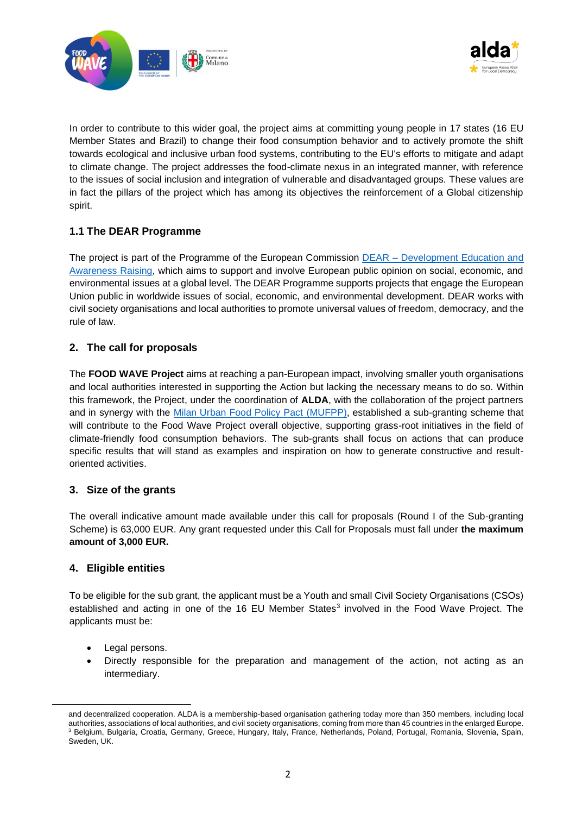



In order to contribute to this wider goal, the project aims at committing young people in 17 states (16 EU Member States and Brazil) to change their food consumption behavior and to actively promote the shift towards ecological and inclusive urban food systems, contributing to the EU's efforts to mitigate and adapt to climate change. The project addresses the food-climate nexus in an integrated manner, with reference to the issues of social inclusion and integration of vulnerable and disadvantaged groups. These values are in fact the pillars of the project which has among its objectives the reinforcement of a Global citizenship spirit.

# **1.1 The DEAR Programme**

The project is part of the Programme of the European Commission DEAR – Development Education and [Awareness Raising,](https://dearprogramme.eu/) which aims to support and involve European public opinion on social, economic, and environmental issues at a global level. The DEAR Programme supports projects that engage the European Union public in worldwide issues of social, economic, and environmental development. DEAR works with civil society organisations and local authorities to promote universal values of freedom, democracy, and the rule of law.

# **2. The call for proposals**

The **FOOD WAVE Project** aims at reaching a pan-European impact, involving smaller youth organisations and local authorities interested in supporting the Action but lacking the necessary means to do so. Within this framework, the Project, under the coordination of **ALDA**, with the collaboration of the project partners and in synergy with the [Milan Urban Food Policy Pact](https://www.milanurbanfoodpolicypact.org/) (MUFPP), established a sub-granting scheme that will contribute to the Food Wave Project overall objective, supporting grass-root initiatives in the field of climate-friendly food consumption behaviors. The sub-grants shall focus on actions that can produce specific results that will stand as examples and inspiration on how to generate constructive and resultoriented activities.

# **3. Size of the grants**

The overall indicative amount made available under this call for proposals (Round I of the Sub-granting Scheme) is 63,000 EUR. Any grant requested under this Call for Proposals must fall under **the maximum amount of 3,000 EUR.**

# **4. Eligible entities**

To be eligible for the sub grant, the applicant must be a Youth and small Civil Society Organisations (CSOs) established and acting in one of the 16 EU Member States<sup>3</sup> involved in the Food Wave Project. The applicants must be:

- Legal persons.
- Directly responsible for the preparation and management of the action, not acting as an intermediary.

and decentralized cooperation. ALDA is a membership-based organisation gathering today more than 350 members, including local authorities, associations of local authorities, and civil society organisations, coming from more than 45 countries in the enlarged Europe. <sup>3</sup> Belgium, Bulgaria, Croatia, Germany, Greece, Hungary, Italy, France, Netherlands, Poland, Portugal, Romania, Slovenia, Spain, Sweden, UK.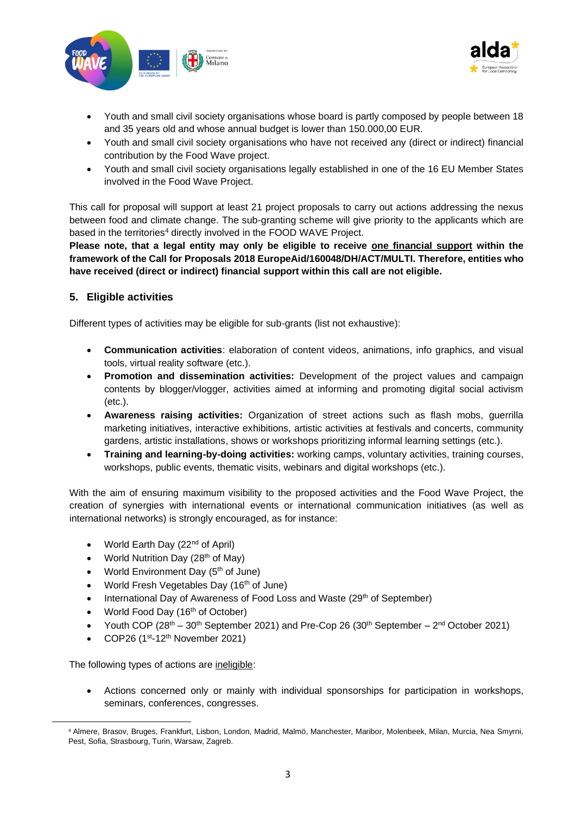



- Youth and small civil society organisations whose board is partly composed by people between 18 and 35 years old and whose annual budget is lower than 150.000,00 EUR.
- Youth and small civil society organisations who have not received any (direct or indirect) financial contribution by the Food Wave project.
- Youth and small civil society organisations legally established in one of the 16 EU Member States involved in the Food Wave Project.

This call for proposal will support at least 21 project proposals to carry out actions addressing the nexus between food and climate change. The sub-granting scheme will give priority to the applicants which are based in the territories<sup>4</sup> directly involved in the FOOD WAVE Project.

**Please note, that a legal entity may only be eligible to receive one financial support within the framework of the Call for Proposals 2018 EuropeAid/160048/DH/ACT/MULTI. Therefore, entities who have received (direct or indirect) financial support within this call are not eligible.** 

# **5. Eligible activities**

Different types of activities may be eligible for sub-grants (list not exhaustive):

- **Communication activities**: elaboration of content videos, animations, info graphics, and visual tools, virtual reality software (etc.).
- **Promotion and dissemination activities:** Development of the project values and campaign contents by blogger/vlogger, activities aimed at informing and promoting digital social activism (etc.).
- **Awareness raising activities:** Organization of street actions such as flash mobs, guerrilla marketing initiatives, interactive exhibitions, artistic activities at festivals and concerts, community gardens, artistic installations, shows or workshops prioritizing informal learning settings (etc.).
- **Training and learning-by-doing activities:** working camps, voluntary activities, training courses, workshops, public events, thematic visits, webinars and digital workshops (etc.).

With the aim of ensuring maximum visibility to the proposed activities and the Food Wave Project, the creation of synergies with international events or international communication initiatives (as well as international networks) is strongly encouraged, as for instance:

- World Earth Day (22<sup>nd</sup> of April)
- World Nutrition Day ( $28<sup>th</sup>$  of May)
- World Environment Day (5<sup>th</sup> of June)
- World Fresh Vegetables Day (16<sup>th</sup> of June)
- International Day of Awareness of Food Loss and Waste (29<sup>th</sup> of September)
- World Food Day  $(16<sup>th</sup>$  of October)
- Youth COP  $(28<sup>th</sup> 30<sup>th</sup>$  September 2021) and Pre-Cop 26  $(30<sup>th</sup>$  September  $2<sup>nd</sup>$  October 2021)
- COP26  $(1<sup>st</sup>-12<sup>th</sup>$  November 2021)

The following types of actions are ineligible:

• Actions concerned only or mainly with individual sponsorships for participation in workshops, seminars, conferences, congresses.

<sup>4</sup> Almere, Brasov, Bruges, Frankfurt, Lisbon, London, Madrid, Malmö, Manchester, Maribor, Molenbeek, Milan, Murcia, Nea Smyrni, Pest, Sofia, Strasbourg, Turin, Warsaw, Zagreb.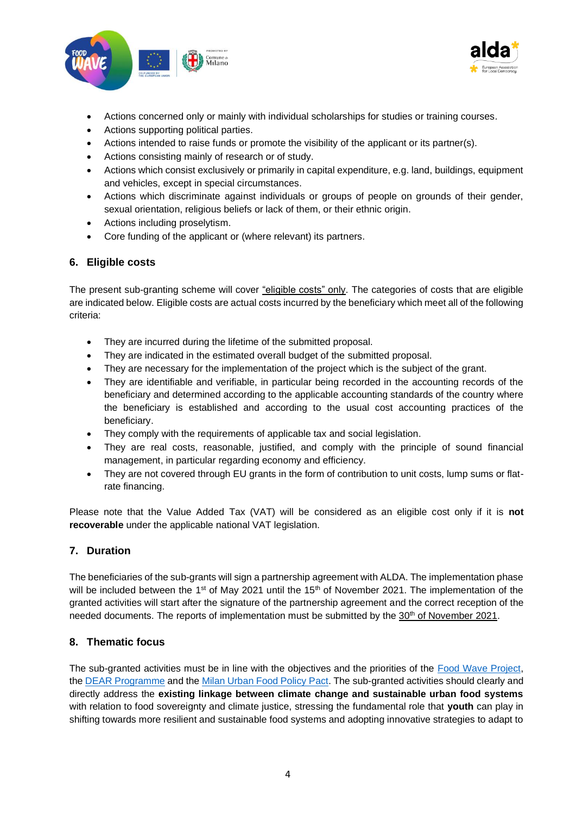



- Actions concerned only or mainly with individual scholarships for studies or training courses.
- Actions supporting political parties.
- Actions intended to raise funds or promote the visibility of the applicant or its partner(s).
- Actions consisting mainly of research or of study.
- Actions which consist exclusively or primarily in capital expenditure, e.g. land, buildings, equipment and vehicles, except in special circumstances.
- Actions which discriminate against individuals or groups of people on grounds of their gender, sexual orientation, religious beliefs or lack of them, or their ethnic origin.
- Actions including proselytism.
- Core funding of the applicant or (where relevant) its partners.

#### **6. Eligible costs**

The present sub-granting scheme will cover "eligible costs" only. The categories of costs that are eligible are indicated below. Eligible costs are actual costs incurred by the beneficiary which meet all of the following criteria:

- They are incurred during the lifetime of the submitted proposal.
- They are indicated in the estimated overall budget of the submitted proposal.
- They are necessary for the implementation of the project which is the subject of the grant.
- They are identifiable and verifiable, in particular being recorded in the accounting records of the beneficiary and determined according to the applicable accounting standards of the country where the beneficiary is established and according to the usual cost accounting practices of the beneficiary.
- They comply with the requirements of applicable tax and social legislation.
- They are real costs, reasonable, justified, and comply with the principle of sound financial management, in particular regarding economy and efficiency.
- They are not covered through EU grants in the form of contribution to unit costs, lump sums or flatrate financing.

Please note that the Value Added Tax (VAT) will be considered as an eligible cost only if it is **not recoverable** under the applicable national VAT legislation.

# **7. Duration**

The beneficiaries of the sub-grants will sign a partnership agreement with ALDA. The implementation phase will be included between the 1<sup>st</sup> of May 2021 until the 15<sup>th</sup> of November 2021. The implementation of the granted activities will start after the signature of the partnership agreement and the correct reception of the needed documents. The reports of implementation must be submitted by the 30<sup>th</sup> of November 2021.

# **8. Thematic focus**

The sub-granted activities must be in line with the objectives and the priorities of the [Food Wave Project,](https://www.foodwave.eu/) the [DEAR Programme](https://dearprogramme.eu/) and the [Milan Urban Food Policy Pact.](https://www.milanurbanfoodpolicypact.org/) The sub-granted activities should clearly and directly address the **existing linkage between climate change and sustainable urban food systems** with relation to food sovereignty and climate justice, stressing the fundamental role that **youth** can play in shifting towards more resilient and sustainable food systems and adopting innovative strategies to adapt to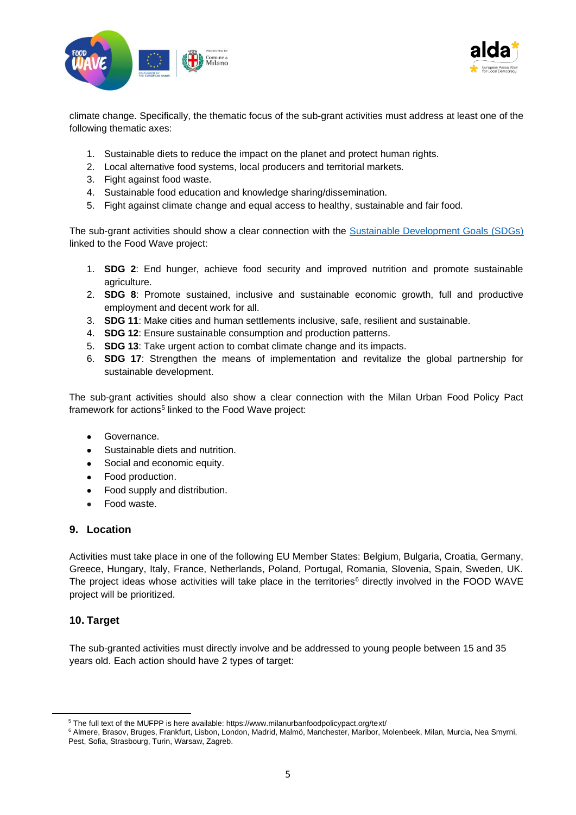



climate change. Specifically, the thematic focus of the sub-grant activities must address at least one of the following thematic axes:

- 1. Sustainable diets to reduce the impact on the planet and protect human rights.
- 2. Local alternative food systems, local producers and territorial markets.
- 3. Fight against food waste.
- 4. Sustainable food education and knowledge sharing/dissemination.
- 5. Fight against climate change and equal access to healthy, sustainable and fair food.

The sub-grant activities should show a clear connection with the [Sustainable Development Goals \(SDGs\)](https://sdgs.un.org/goals) linked to the Food Wave project:

- 1. **SDG 2**: End hunger, achieve food security and improved nutrition and promote sustainable agriculture.
- 2. **SDG 8**: Promote sustained, inclusive and sustainable economic growth, full and productive employment and decent work for all.
- 3. **SDG 11**: Make cities and human settlements inclusive, safe, resilient and sustainable.
- 4. **SDG 12**: Ensure sustainable consumption and production patterns.
- 5. **SDG 13**: Take urgent action to combat climate change and its impacts.
- 6. **SDG 17**: Strengthen the means of implementation and revitalize the global partnership for sustainable development.

The sub-grant activities should also show a clear connection with the Milan Urban Food Policy Pact framework for actions<sup>5</sup> linked to the Food Wave project:

- Governance.
- Sustainable diets and nutrition.
- Social and economic equity.
- Food production.
- Food supply and distribution.
- Food waste.

#### **9. Location**

Activities must take place in one of the following EU Member States: Belgium, Bulgaria, Croatia, Germany, Greece, Hungary, Italy, France, Netherlands, Poland, Portugal, Romania, Slovenia, Spain, Sweden, UK. The project ideas whose activities will take place in the territories<sup>6</sup> directly involved in the FOOD WAVE project will be prioritized.

# **10. Target**

The sub-granted activities must directly involve and be addressed to young people between 15 and 35 years old. Each action should have 2 types of target:

<sup>&</sup>lt;sup>5</sup> The full text of the MUFPP is here available: https://www.milanurbanfoodpolicypact.org/text/

<sup>6</sup> Almere, Brasov, Bruges, Frankfurt, Lisbon, London, Madrid, Malmö, Manchester, Maribor, Molenbeek, Milan, Murcia, Nea Smyrni, Pest, Sofia, Strasbourg, Turin, Warsaw, Zagreb.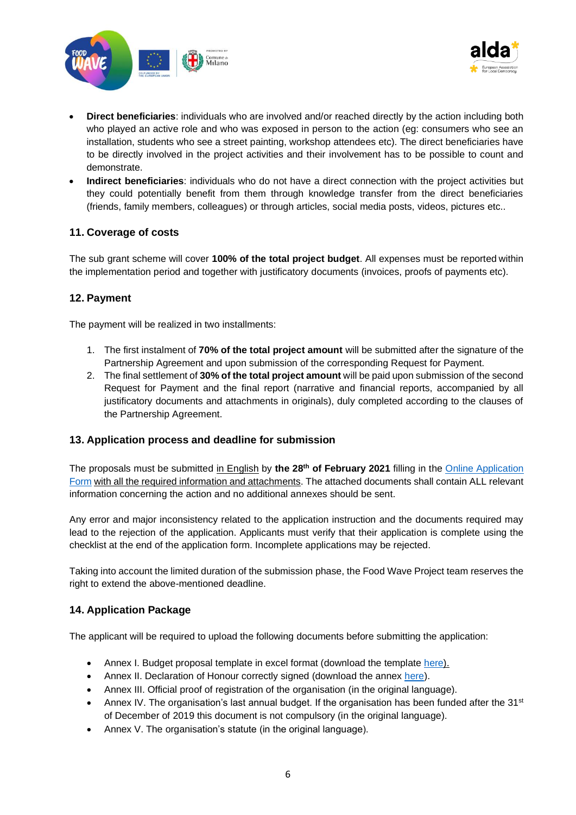



- **Direct beneficiaries**: individuals who are involved and/or reached directly by the action including both who played an active role and who was exposed in person to the action (eg: consumers who see an installation, students who see a street painting, workshop attendees etc). The direct beneficiaries have to be directly involved in the project activities and their involvement has to be possible to count and demonstrate.
- **Indirect beneficiaries**: individuals who do not have a direct connection with the project activities but they could potentially benefit from them through knowledge transfer from the direct beneficiaries (friends, family members, colleagues) or through articles, social media posts, videos, pictures etc..

# **11. Coverage of costs**

The sub grant scheme will cover **100% of the total project budget**. All expenses must be reported within the implementation period and together with justificatory documents (invoices, proofs of payments etc).

# **12. Payment**

The payment will be realized in two installments:

- 1. The first instalment of **70% of the total project amount** will be submitted after the signature of the Partnership Agreement and upon submission of the corresponding Request for Payment.
- 2. The final settlement of **30% of the total project amount** will be paid upon submission of the second Request for Payment and the final report (narrative and financial reports, accompanied by all justificatory documents and attachments in originals), duly completed according to the clauses of the Partnership Agreement.

# **13. Application process and deadline for submission**

The proposals must be submitted in English by **the 28th of February 2021** filling in the [Online Application](https://docs.google.com/forms/d/e/1FAIpQLSdh7chvVbuTM_l4oAGzBdFIaWK1uUi-bHlO6vdj4EYfyek5UA/viewform?usp=sf_link)  [Form](https://docs.google.com/forms/d/e/1FAIpQLSdh7chvVbuTM_l4oAGzBdFIaWK1uUi-bHlO6vdj4EYfyek5UA/viewform?usp=sf_link) with all the required information and attachments. The attached documents shall contain ALL relevant information concerning the action and no additional annexes should be sent.

Any error and major inconsistency related to the application instruction and the documents required may lead to the rejection of the application. Applicants must verify that their application is complete using the checklist at the end of the application form. Incomplete applications may be rejected.

Taking into account the limited duration of the submission phase, the Food Wave Project team reserves the right to extend the above-mentioned deadline.

# **14. Application Package**

The applicant will be required to upload the following documents before submitting the application:

- Annex I. Budget proposal template in excel format (download the template [here\)](http://www.alda-europe.eu/library/news150/).
- Annex II. Declaration of Honour correctly signed (download the annex [here\)](http://www.alda-europe.eu/library/news150/).
- Annex III. Official proof of registration of the organisation (in the original language).
- Annex IV. The organisation's last annual budget. If the organisation has been funded after the  $31<sup>st</sup>$ of December of 2019 this document is not compulsory (in the original language).
- Annex V. The organisation's statute (in the original language).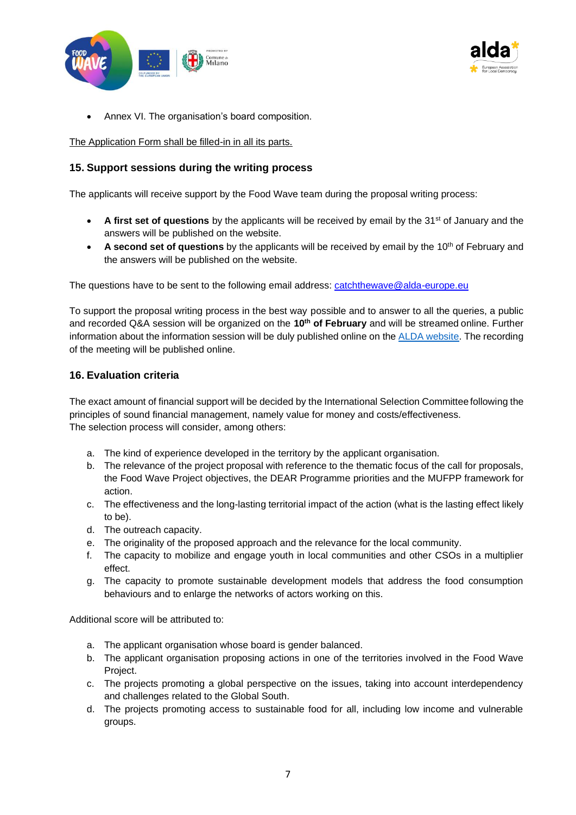



• Annex VI. The organisation's board composition.

The Application Form shall be filled-in in all its parts.

# **15. Support sessions during the writing process**

The applicants will receive support by the Food Wave team during the proposal writing process:

- A first set of questions by the applicants will be received by email by the 31<sup>st</sup> of January and the answers will be published on the website.
- A second set of questions by the applicants will be received by email by the 10<sup>th</sup> of February and the answers will be published on the website.

The questions have to be sent to the following email address:  $catch$ thewave $@$ alda-europe.eu

To support the proposal writing process in the best way possible and to answer to all the queries, a public and recorded Q&A session will be organized on the **10th of February** and will be streamedonline. Further information about the information session will be duly published online on the [ALDA website.](http://www.alda-europe.eu/library/news150/) The recording of the meeting will be published online.

#### **16. Evaluation criteria**

The exact amount of financial support will be decided by the International Selection Committeefollowing the principles of sound financial management, namely value for money and costs/effectiveness. The selection process will consider, among others:

- a. The kind of experience developed in the territory by the applicant organisation.
- b. The relevance of the project proposal with reference to the thematic focus of the call for proposals, the Food Wave Project objectives, the DEAR Programme priorities and the MUFPP framework for action.
- c. The effectiveness and the long-lasting territorial impact of the action (what is the lasting effect likely to be).
- d. The outreach capacity.
- e. The originality of the proposed approach and the relevance for the local community.
- f. The capacity to mobilize and engage youth in local communities and other CSOs in a multiplier effect.
- g. The capacity to promote sustainable development models that address the food consumption behaviours and to enlarge the networks of actors working on this.

Additional score will be attributed to:

- a. The applicant organisation whose board is gender balanced.
- b. The applicant organisation proposing actions in one of the territories involved in the Food Wave Project.
- c. The projects promoting a global perspective on the issues, taking into account interdependency and challenges related to the Global South.
- d. The projects promoting access to sustainable food for all, including low income and vulnerable groups.